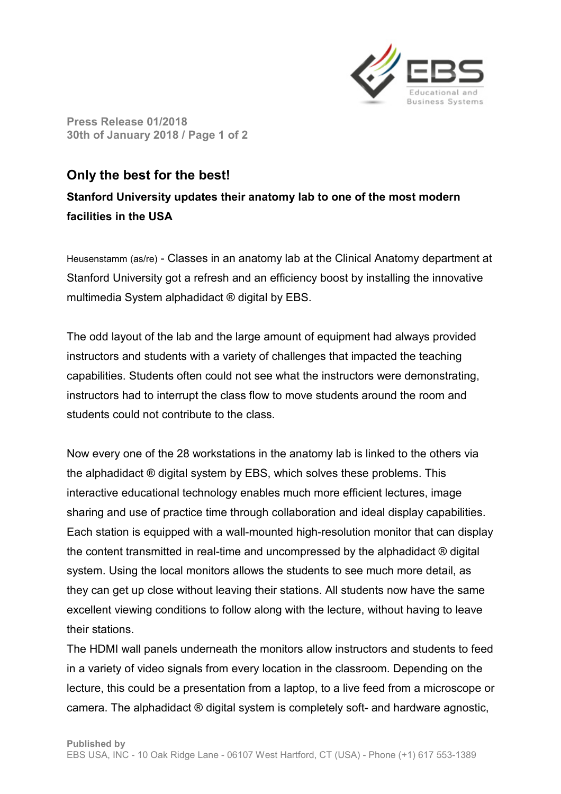

**Press Release 01/2018 30th of January 2018 / Page 1 of 2** 

## **Only the best for the best!**

**Stanford University updates their anatomy lab to one of the most modern facilities in the USA**

Heusenstamm (as/re) - Classes in an anatomy lab at the Clinical Anatomy department at Stanford University got a refresh and an efficiency boost by installing the innovative multimedia System alphadidact ® digital by EBS.

The odd layout of the lab and the large amount of equipment had always provided instructors and students with a variety of challenges that impacted the teaching capabilities. Students often could not see what the instructors were demonstrating, instructors had to interrupt the class flow to move students around the room and students could not contribute to the class.

Now every one of the 28 workstations in the anatomy lab is linked to the others via the alphadidact ® digital system by EBS, which solves these problems. This interactive educational technology enables much more efficient lectures, image sharing and use of practice time through collaboration and ideal display capabilities. Each station is equipped with a wall-mounted high-resolution monitor that can display the content transmitted in real-time and uncompressed by the alphadidact ® digital system. Using the local monitors allows the students to see much more detail, as they can get up close without leaving their stations. All students now have the same excellent viewing conditions to follow along with the lecture, without having to leave their stations.

The HDMI wall panels underneath the monitors allow instructors and students to feed in a variety of video signals from every location in the classroom. Depending on the lecture, this could be a presentation from a laptop, to a live feed from a microscope or camera. The alphadidact ® digital system is completely soft- and hardware agnostic,